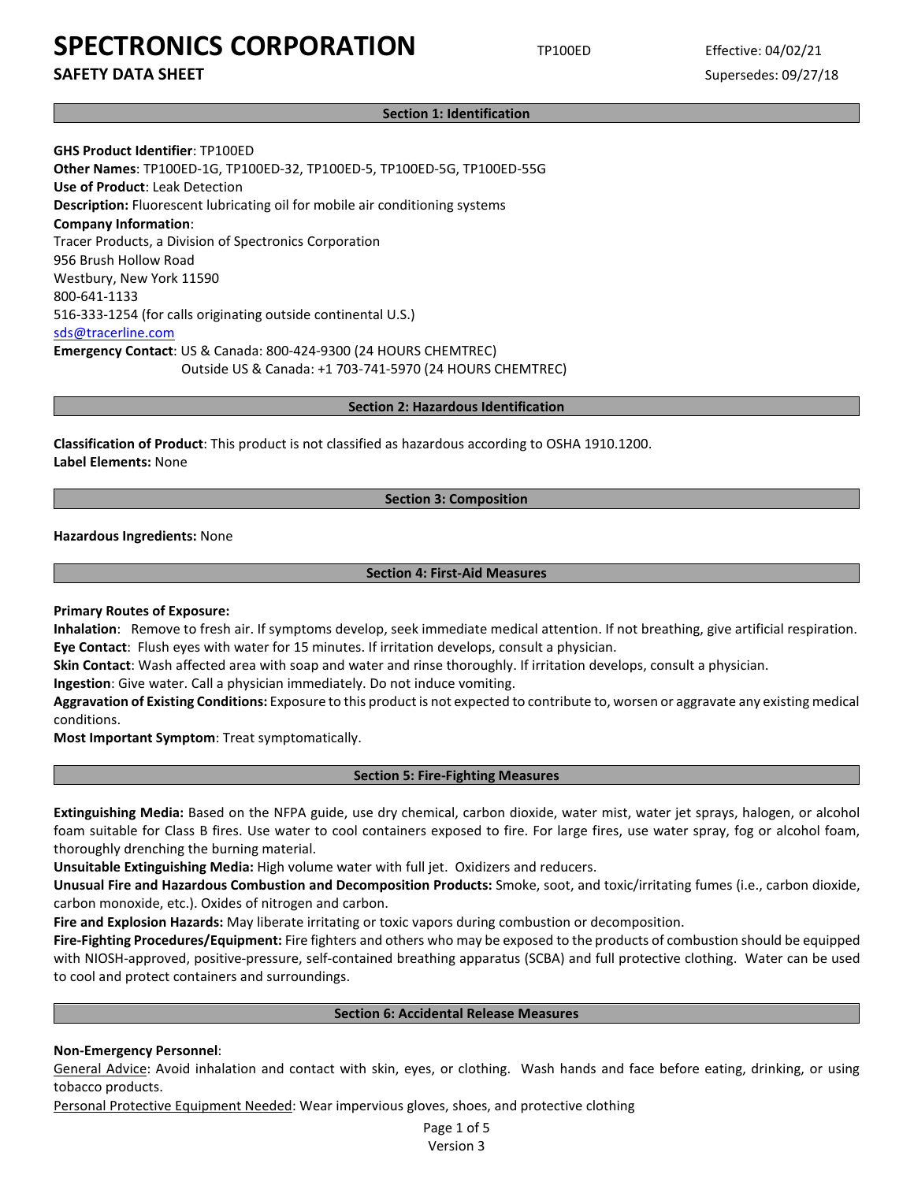**SAFETY DATA SHEET** SUPERFOUR SUPERFOUR SUPERFOUR SUPERFOUR SUPERFOUR SUPERFOUR SUPERFOUR SUPERFOUR SUPERFOUR SUPERFOUR SUPERFOUR SUPERFOUR SUPERFOUR SUPERFOUR SUPERFOUR SUPERFOUR SUPERFOUR SUPERFOUR SUPERFOUR SUPERFOUR SU

**Section 1: Identification**

**GHS Product Identifier**: TP100ED **Other Names**: TP100ED-1G, TP100ED-32, TP100ED-5, TP100ED-5G, TP100ED-55G **Use of Product**: Leak Detection **Description:** Fluorescent lubricating oil for mobile air conditioning systems **Company Information**: Tracer Products, a Division of Spectronics Corporation 956 Brush Hollow Road Westbury, New York 11590 800-641-1133 516-333-1254 (for calls originating outside continental U.S.) [sds@tracerline.com](mailto:sds@tracerline.com) **Emergency Contact**: US & Canada: 800-424-9300 (24 HOURS CHEMTREC) Outside US & Canada: +1 703-741-5970 (24 HOURS CHEMTREC)

**Section 2: Hazardous Identification**

**Classification of Product**: This product is not classified as hazardous according to OSHA 1910.1200. **Label Elements:** None

## **Section 3: Composition**

**Hazardous Ingredients:** None

#### **Section 4: First-Aid Measures**

**Primary Routes of Exposure:**

**Inhalation**: Remove to fresh air. If symptoms develop, seek immediate medical attention. If not breathing, give artificial respiration. **Eye Contact**: Flush eyes with water for 15 minutes. If irritation develops, consult a physician.

**Skin Contact**: Wash affected area with soap and water and rinse thoroughly. If irritation develops, consult a physician.

**Ingestion**: Give water. Call a physician immediately. Do not induce vomiting.

**Aggravation of Existing Conditions:** Exposure to this product is not expected to contribute to, worsen or aggravate any existing medical conditions.

**Most Important Symptom**: Treat symptomatically.

#### **Section 5: Fire-Fighting Measures**

**Extinguishing Media:** Based on the NFPA guide, use dry chemical, carbon dioxide, water mist, water jet sprays, halogen, or alcohol foam suitable for Class B fires. Use water to cool containers exposed to fire. For large fires, use water spray, fog or alcohol foam, thoroughly drenching the burning material.

**Unsuitable Extinguishing Media:** High volume water with full jet. Oxidizers and reducers.

**Unusual Fire and Hazardous Combustion and Decomposition Products:** Smoke, soot, and toxic/irritating fumes (i.e., carbon dioxide, carbon monoxide, etc.). Oxides of nitrogen and carbon.

**Fire and Explosion Hazards:** May liberate irritating or toxic vapors during combustion or decomposition.

**Fire-Fighting Procedures/Equipment:** Fire fighters and others who may be exposed to the products of combustion should be equipped with NIOSH-approved, positive-pressure, self-contained breathing apparatus (SCBA) and full protective clothing. Water can be used to cool and protect containers and surroundings.

### **Section 6: Accidental Release Measures**

## **Non-Emergency Personnel**:

General Advice: Avoid inhalation and contact with skin, eyes, or clothing. Wash hands and face before eating, drinking, or using tobacco products.

Personal Protective Equipment Needed: Wear impervious gloves, shoes, and protective clothing

Page 1 of 5 Version 3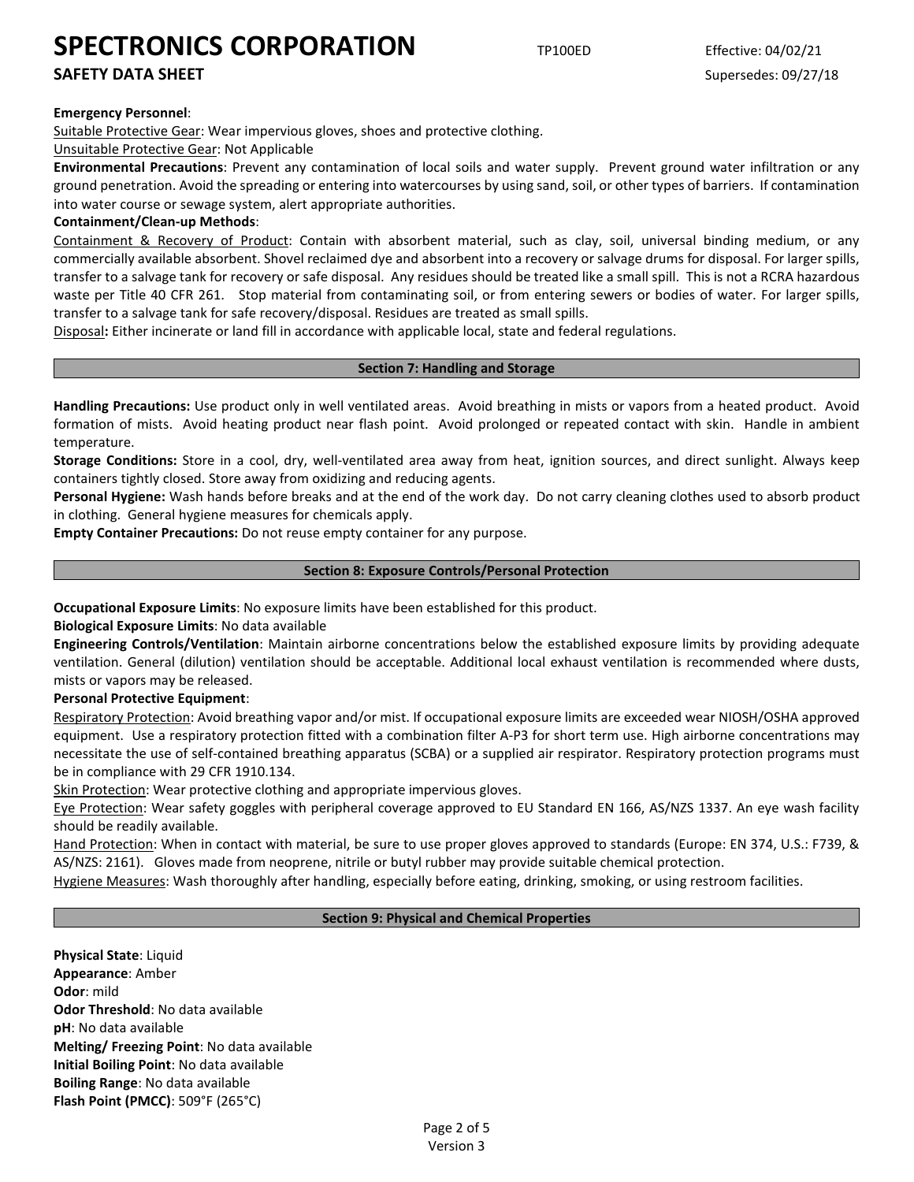## **SAFETY DATA SHEET** SUPERFOUR SUPERFOUR SUPERFOUR SUPERFOUR SUPERFOUR SUPERFOUR SUPERFOUR SUPERFOUR SUPERFOUR SUPERFOUR SUPERFOUR SUPERFOUR SUPERFOUR SUPERFOUR SUPERFOUR SUPERFOUR SUPERFOUR SUPERFOUR SUPERFOUR SUPERFOUR SU

## **Emergency Personnel**:

Suitable Protective Gear: Wear impervious gloves, shoes and protective clothing.

### Unsuitable Protective Gear: Not Applicable

**Environmental Precautions**: Prevent any contamination of local soils and water supply. Prevent ground water infiltration or any ground penetration. Avoid the spreading or entering into watercourses by using sand, soil, or other types of barriers. If contamination into water course or sewage system, alert appropriate authorities.

## **Containment/Clean-up Methods**:

Containment & Recovery of Product: Contain with absorbent material, such as clay, soil, universal binding medium, or any commercially available absorbent. Shovel reclaimed dye and absorbent into a recovery or salvage drums for disposal. For larger spills, transfer to a salvage tank for recovery or safe disposal. Any residues should be treated like a small spill. This is not a RCRA hazardous waste per Title 40 CFR 261. Stop material from contaminating soil, or from entering sewers or bodies of water. For larger spills, transfer to a salvage tank for safe recovery/disposal. Residues are treated as small spills.

Disposal**:** Either incinerate or land fill in accordance with applicable local, state and federal regulations.

#### **Section 7: Handling and Storage**

**Handling Precautions:** Use product only in well ventilated areas. Avoid breathing in mists or vapors from a heated product. Avoid formation of mists. Avoid heating product near flash point. Avoid prolonged or repeated contact with skin. Handle in ambient temperature.

**Storage Conditions:** Store in a cool, dry, well-ventilated area away from heat, ignition sources, and direct sunlight. Always keep containers tightly closed. Store away from oxidizing and reducing agents.

**Personal Hygiene:** Wash hands before breaks and at the end of the work day. Do not carry cleaning clothes used to absorb product in clothing. General hygiene measures for chemicals apply.

**Empty Container Precautions:** Do not reuse empty container for any purpose.

## **Section 8: Exposure Controls/Personal Protection**

**Occupational Exposure Limits**: No exposure limits have been established for this product.

## **Biological Exposure Limits**: No data available

**Engineering Controls/Ventilation**: Maintain airborne concentrations below the established exposure limits by providing adequate ventilation. General (dilution) ventilation should be acceptable. Additional local exhaust ventilation is recommended where dusts, mists or vapors may be released.

**Personal Protective Equipment**:

Respiratory Protection: Avoid breathing vapor and/or mist. If occupational exposure limits are exceeded wear NIOSH/OSHA approved equipment. Use a respiratory protection fitted with a combination filter A-P3 for short term use. High airborne concentrations may necessitate the use of self-contained breathing apparatus (SCBA) or a supplied air respirator. Respiratory protection programs must be in compliance with 29 CFR 1910.134.

Skin Protection: Wear protective clothing and appropriate impervious gloves.

Eye Protection: Wear safety goggles with peripheral coverage approved to EU Standard EN 166, AS/NZS 1337. An eye wash facility should be readily available.

Hand Protection: When in contact with material, be sure to use proper gloves approved to standards (Europe: EN 374, U.S.: F739, & AS/NZS: 2161). Gloves made from neoprene, nitrile or butyl rubber may provide suitable chemical protection.

Hygiene Measures: Wash thoroughly after handling, especially before eating, drinking, smoking, or using restroom facilities.

## **Section 9: Physical and Chemical Properties**

**Physical State**: Liquid **Appearance**: Amber **Odor**: mild **Odor Threshold**: No data available **pH**: No data available **Melting/ Freezing Point**: No data available **Initial Boiling Point**: No data available **Boiling Range**: No data available **Flash Point (PMCC)**: 509°F (265°C)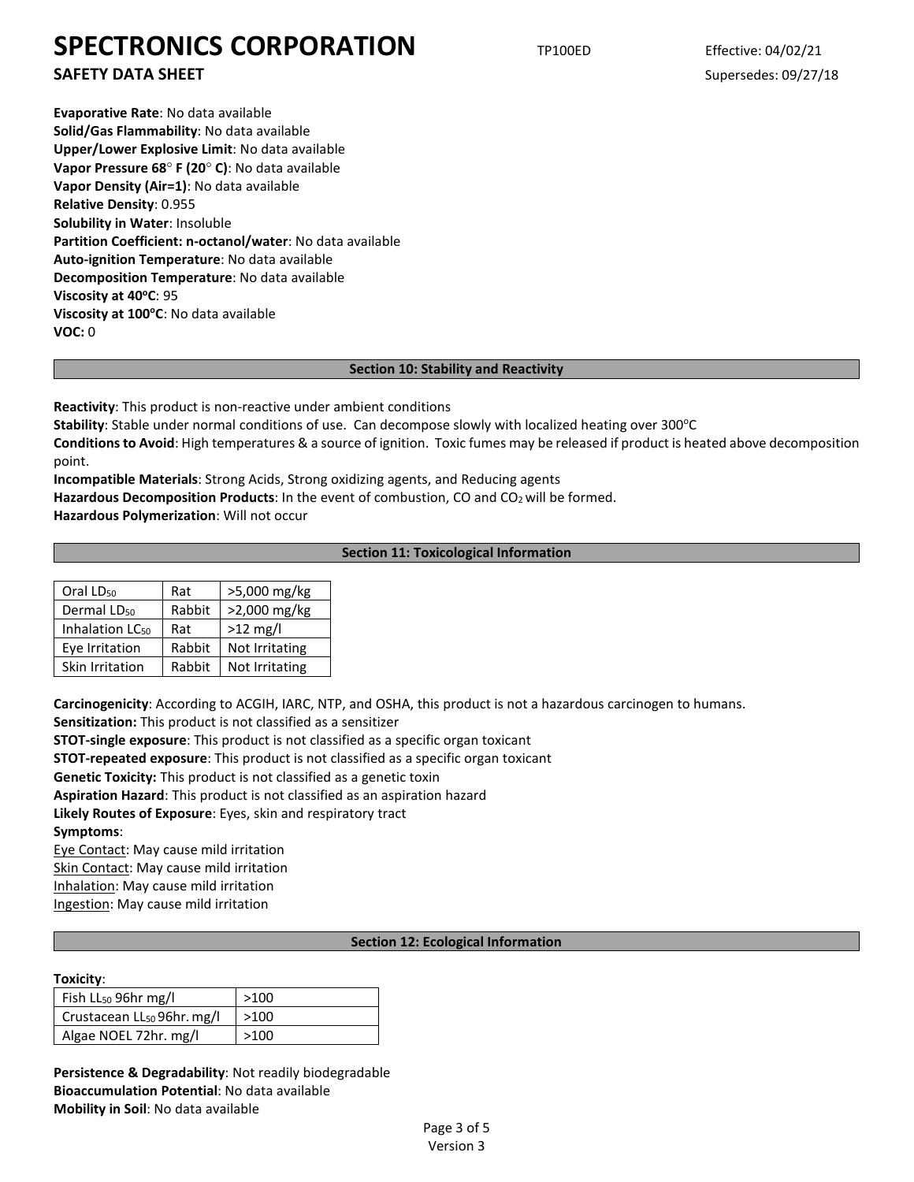**SAFETY DATA SHEET** SUPERFOUR SUPERFOUR SUPERFOUR SUPERFOUR SUPERFOUR SUPERFOUR SUPERFOUR SUPERFOUR SUPERFOUR SUPERFOUR SUPERFOUR SUPERFOUR SUPERFOUR SUPERFOUR SUPERFOUR SUPERFOUR SUPERFOUR SUPERFOUR SUPERFOUR SUPERFOUR SU

**Evaporative Rate**: No data available **Solid/Gas Flammability**: No data available **Upper/Lower Explosive Limit**: No data available **Vapor Pressure 68**° **F (20**° **C)**: No data available **Vapor Density (Air=1)**: No data available **Relative Density**: 0.955 **Solubility in Water**: Insoluble **Partition Coefficient: n-octanol/water**: No data available **Auto-ignition Temperature**: No data available **Decomposition Temperature**: No data available **Viscosity at 40°C: 95 Viscosity at 100°C**: No data available **VOC:** 0

## **Section 10: Stability and Reactivity**

**Reactivity**: This product is non-reactive under ambient conditions

**Stability**: Stable under normal conditions of use. Can decompose slowly with localized heating over 300°C

**Conditions to Avoid**: High temperatures & a source of ignition. Toxic fumes may be released if product is heated above decomposition point.

**Incompatible Materials**: Strong Acids, Strong oxidizing agents, and Reducing agents

Hazardous Decomposition Products: In the event of combustion, CO and CO<sub>2</sub> will be formed.

**Hazardous Polymerization**: Will not occur

## **Section 11: Toxicological Information**

| Oral LD <sub>50</sub>       | Rat    | >5,000 mg/kg   |  |
|-----------------------------|--------|----------------|--|
| Dermal LD <sub>50</sub>     | Rabbit | >2,000 mg/kg   |  |
| Inhalation LC <sub>50</sub> | Rat    | $>12$ mg/l     |  |
| Eye Irritation              | Rabbit | Not Irritating |  |
| Skin Irritation             | Rabbit | Not Irritating |  |

**Carcinogenicity**: According to ACGIH, IARC, NTP, and OSHA, this product is not a hazardous carcinogen to humans.

**Sensitization:** This product is not classified as a sensitizer

**STOT-single exposure**: This product is not classified as a specific organ toxicant

**STOT-repeated exposure**: This product is not classified as a specific organ toxicant

**Genetic Toxicity:** This product is not classified as a genetic toxin

**Aspiration Hazard**: This product is not classified as an aspiration hazard

**Likely Routes of Exposure**: Eyes, skin and respiratory tract **Symptoms**:

Eye Contact: May cause mild irritation Skin Contact: May cause mild irritation Inhalation: May cause mild irritation Ingestion: May cause mild irritation

## **Section 12: Ecological Information**

#### **Toxicity**:

| Fish $LL_{50}$ 96hr mg/l               | >100 |
|----------------------------------------|------|
| Crustacean LL <sub>50</sub> 96hr. mg/l | >100 |
| Algae NOEL 72hr. mg/l                  | >100 |

**Persistence & Degradability**: Not readily biodegradable **Bioaccumulation Potential**: No data available **Mobility in Soil**: No data available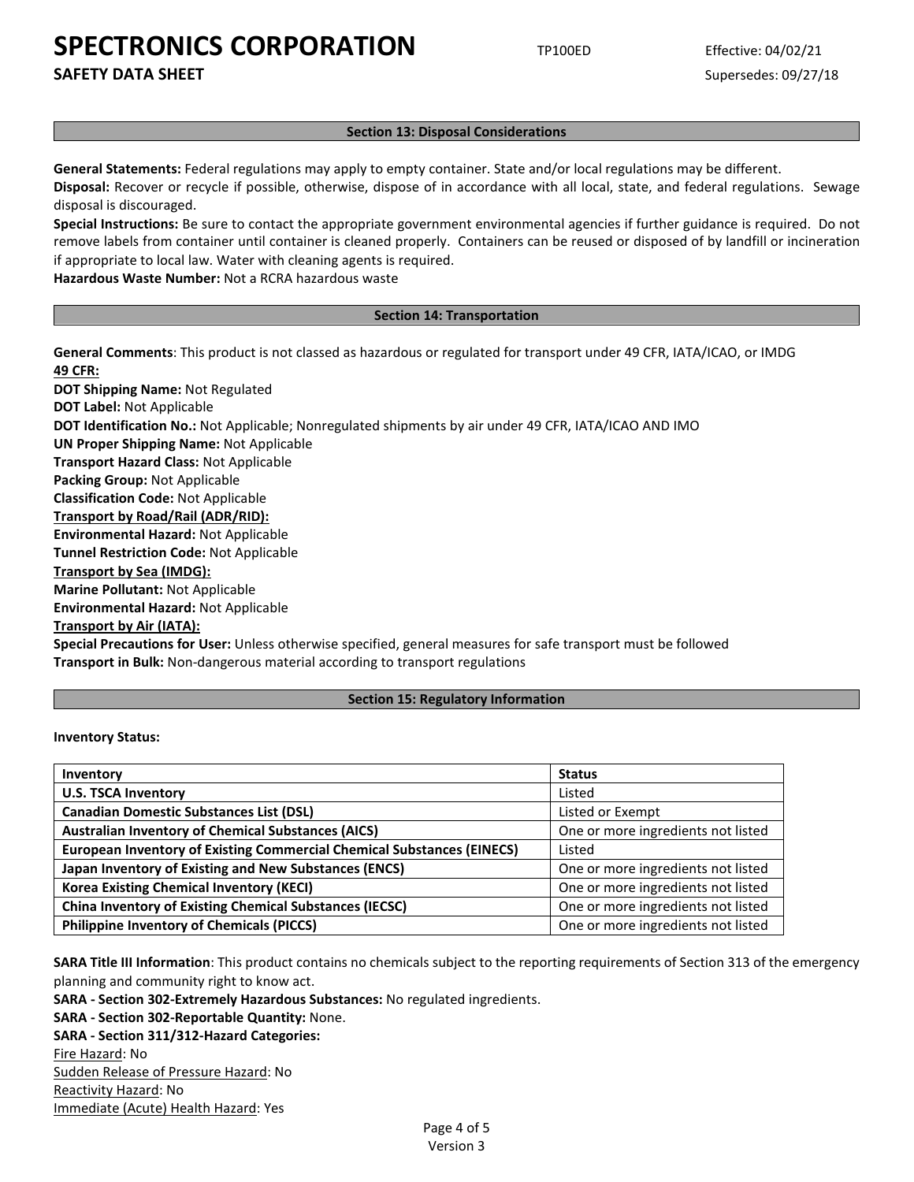**SAFETY DATA SHEET** SUPERFOUR SUPERFOUR SUPERFOUR SUPERFOUR SUPERFOUR SUPERFOUR SUPERFOUR SUPERFOUR SUPERFOUR SUPERFOUR SUPERFOUR SUPERFOUR SUPERFOUR SUPERFOUR SUPERFOUR SUPERFOUR SUPERFOUR SUPERFOUR SUPERFOUR SUPERFOUR SU

### **Section 13: Disposal Considerations**

**General Statements:** Federal regulations may apply to empty container. State and/or local regulations may be different.

**Disposal:** Recover or recycle if possible, otherwise, dispose of in accordance with all local, state, and federal regulations. Sewage disposal is discouraged.

**Special Instructions:** Be sure to contact the appropriate government environmental agencies if further guidance is required. Do not remove labels from container until container is cleaned properly. Containers can be reused or disposed of by landfill or incineration if appropriate to local law. Water with cleaning agents is required.

**Hazardous Waste Number:** Not a RCRA hazardous waste

#### **Section 14: Transportation**

**General Comments**: This product is not classed as hazardous or regulated for transport under 49 CFR, IATA/ICAO, or IMDG **49 CFR: DOT Shipping Name:** Not Regulated **DOT Label:** Not Applicable **DOT Identification No.:** Not Applicable; Nonregulated shipments by air under 49 CFR, IATA/ICAO AND IMO **UN Proper Shipping Name:** Not Applicable **Transport Hazard Class:** Not Applicable **Packing Group:** Not Applicable **Classification Code:** Not Applicable **Transport by Road/Rail (ADR/RID): Environmental Hazard:** Not Applicable **Tunnel Restriction Code:** Not Applicable **Transport by Sea (IMDG):** 

**Marine Pollutant:** Not Applicable **Environmental Hazard:** Not Applicable

**Transport by Air (IATA):**

**Special Precautions for User:** Unless otherwise specified, general measures for safe transport must be followed **Transport in Bulk:** Non-dangerous material according to transport regulations

### **Section 15: Regulatory Information**

**Inventory Status:** 

| Inventory                                                                     | <b>Status</b>                      |
|-------------------------------------------------------------------------------|------------------------------------|
| <b>U.S. TSCA Inventory</b>                                                    | Listed                             |
| <b>Canadian Domestic Substances List (DSL)</b>                                | Listed or Exempt                   |
| <b>Australian Inventory of Chemical Substances (AICS)</b>                     | One or more ingredients not listed |
| <b>European Inventory of Existing Commercial Chemical Substances (EINECS)</b> | Listed                             |
| Japan Inventory of Existing and New Substances (ENCS)                         | One or more ingredients not listed |
| <b>Korea Existing Chemical Inventory (KECI)</b>                               | One or more ingredients not listed |
| <b>China Inventory of Existing Chemical Substances (IECSC)</b>                | One or more ingredients not listed |
| <b>Philippine Inventory of Chemicals (PICCS)</b>                              | One or more ingredients not listed |

**SARA Title III Information**: This product contains no chemicals subject to the reporting requirements of Section 313 of the emergency planning and community right to know act.

**SARA - Section 302-Extremely Hazardous Substances:** No regulated ingredients.

**SARA - Section 302-Reportable Quantity:** None.

**SARA - Section 311/312-Hazard Categories:**

Fire Hazard: No Sudden Release of Pressure Hazard: No Reactivity Hazard: No Immediate (Acute) Health Hazard: Yes